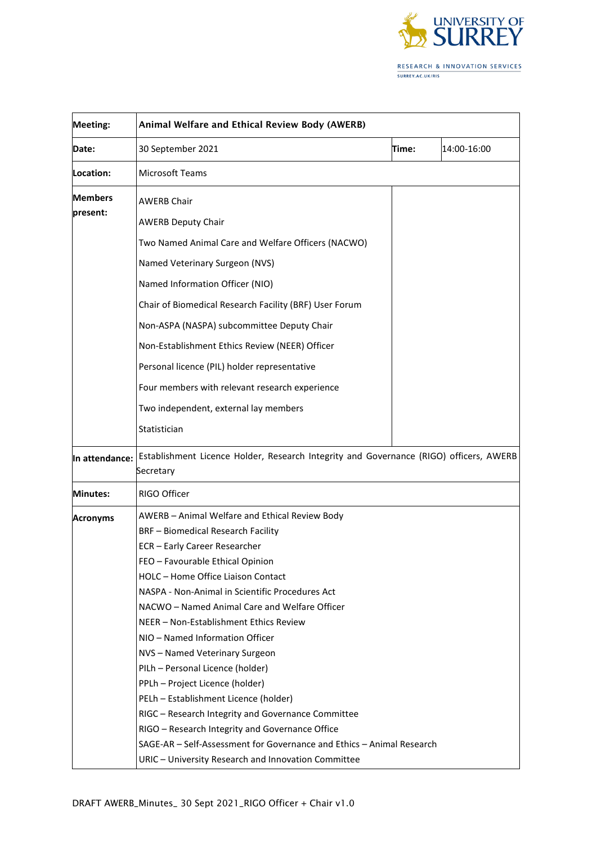

| <b>Meeting:</b>            | Animal Welfare and Ethical Review Body (AWERB)                                                                                                                                                                                                                                                                                                                                                                                                                                                                                                                                                                                                                                                                            |       |             |
|----------------------------|---------------------------------------------------------------------------------------------------------------------------------------------------------------------------------------------------------------------------------------------------------------------------------------------------------------------------------------------------------------------------------------------------------------------------------------------------------------------------------------------------------------------------------------------------------------------------------------------------------------------------------------------------------------------------------------------------------------------------|-------|-------------|
| Date:                      | 30 September 2021                                                                                                                                                                                                                                                                                                                                                                                                                                                                                                                                                                                                                                                                                                         | Time: | 14:00-16:00 |
| Location:                  | <b>Microsoft Teams</b>                                                                                                                                                                                                                                                                                                                                                                                                                                                                                                                                                                                                                                                                                                    |       |             |
| <b>Members</b><br>present: | <b>AWERB Chair</b>                                                                                                                                                                                                                                                                                                                                                                                                                                                                                                                                                                                                                                                                                                        |       |             |
|                            | <b>AWERB Deputy Chair</b>                                                                                                                                                                                                                                                                                                                                                                                                                                                                                                                                                                                                                                                                                                 |       |             |
|                            | Two Named Animal Care and Welfare Officers (NACWO)                                                                                                                                                                                                                                                                                                                                                                                                                                                                                                                                                                                                                                                                        |       |             |
|                            | Named Veterinary Surgeon (NVS)                                                                                                                                                                                                                                                                                                                                                                                                                                                                                                                                                                                                                                                                                            |       |             |
|                            | Named Information Officer (NIO)                                                                                                                                                                                                                                                                                                                                                                                                                                                                                                                                                                                                                                                                                           |       |             |
|                            | Chair of Biomedical Research Facility (BRF) User Forum                                                                                                                                                                                                                                                                                                                                                                                                                                                                                                                                                                                                                                                                    |       |             |
|                            | Non-ASPA (NASPA) subcommittee Deputy Chair                                                                                                                                                                                                                                                                                                                                                                                                                                                                                                                                                                                                                                                                                |       |             |
|                            | Non-Establishment Ethics Review (NEER) Officer                                                                                                                                                                                                                                                                                                                                                                                                                                                                                                                                                                                                                                                                            |       |             |
|                            | Personal licence (PIL) holder representative                                                                                                                                                                                                                                                                                                                                                                                                                                                                                                                                                                                                                                                                              |       |             |
|                            | Four members with relevant research experience                                                                                                                                                                                                                                                                                                                                                                                                                                                                                                                                                                                                                                                                            |       |             |
|                            | Two independent, external lay members                                                                                                                                                                                                                                                                                                                                                                                                                                                                                                                                                                                                                                                                                     |       |             |
|                            | Statistician                                                                                                                                                                                                                                                                                                                                                                                                                                                                                                                                                                                                                                                                                                              |       |             |
| In attendance:             | Establishment Licence Holder, Research Integrity and Governance (RIGO) officers, AWERB<br>Secretary                                                                                                                                                                                                                                                                                                                                                                                                                                                                                                                                                                                                                       |       |             |
| <b>Minutes:</b>            | RIGO Officer                                                                                                                                                                                                                                                                                                                                                                                                                                                                                                                                                                                                                                                                                                              |       |             |
| <b>Acronyms</b>            | AWERB - Animal Welfare and Ethical Review Body<br><b>BRF</b> - Biomedical Research Facility<br>ECR - Early Career Researcher<br>FEO - Favourable Ethical Opinion<br>HOLC - Home Office Liaison Contact<br>NASPA - Non-Animal in Scientific Procedures Act<br>NACWO – Named Animal Care and Welfare Officer<br>NEER - Non-Establishment Ethics Review<br>NIO - Named Information Officer<br>NVS-Named Veterinary Surgeon<br>PILh - Personal Licence (holder)<br>PPLh - Project Licence (holder)<br>PELh - Establishment Licence (holder)<br>RIGC - Research Integrity and Governance Committee<br>RIGO - Research Integrity and Governance Office<br>SAGE-AR - Self-Assessment for Governance and Ethics - Animal Research |       |             |
|                            | URIC - University Research and Innovation Committee                                                                                                                                                                                                                                                                                                                                                                                                                                                                                                                                                                                                                                                                       |       |             |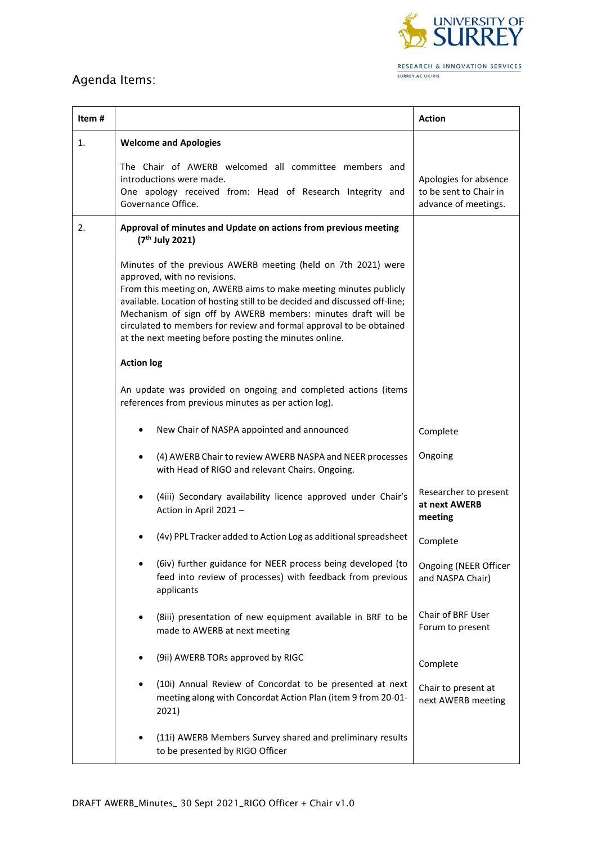

## Agenda Items:

| Item# |                                                                                                                                                                                                                                                                                                                                                                                                                                                    | <b>Action</b>                                                           |
|-------|----------------------------------------------------------------------------------------------------------------------------------------------------------------------------------------------------------------------------------------------------------------------------------------------------------------------------------------------------------------------------------------------------------------------------------------------------|-------------------------------------------------------------------------|
| 1.    | <b>Welcome and Apologies</b>                                                                                                                                                                                                                                                                                                                                                                                                                       |                                                                         |
|       | The Chair of AWERB welcomed all committee members and<br>introductions were made.<br>One apology received from: Head of Research Integrity and<br>Governance Office.                                                                                                                                                                                                                                                                               | Apologies for absence<br>to be sent to Chair in<br>advance of meetings. |
| 2.    | Approval of minutes and Update on actions from previous meeting<br>(7 <sup>th</sup> July 2021)                                                                                                                                                                                                                                                                                                                                                     |                                                                         |
|       | Minutes of the previous AWERB meeting (held on 7th 2021) were<br>approved, with no revisions.<br>From this meeting on, AWERB aims to make meeting minutes publicly<br>available. Location of hosting still to be decided and discussed off-line;<br>Mechanism of sign off by AWERB members: minutes draft will be<br>circulated to members for review and formal approval to be obtained<br>at the next meeting before posting the minutes online. |                                                                         |
|       | <b>Action log</b>                                                                                                                                                                                                                                                                                                                                                                                                                                  |                                                                         |
|       | An update was provided on ongoing and completed actions (items<br>references from previous minutes as per action log).                                                                                                                                                                                                                                                                                                                             |                                                                         |
|       | New Chair of NASPA appointed and announced                                                                                                                                                                                                                                                                                                                                                                                                         | Complete                                                                |
|       | (4) AWERB Chair to review AWERB NASPA and NEER processes<br>with Head of RIGO and relevant Chairs. Ongoing.                                                                                                                                                                                                                                                                                                                                        | Ongoing                                                                 |
|       | (4iii) Secondary availability licence approved under Chair's<br>Action in April 2021-                                                                                                                                                                                                                                                                                                                                                              | Researcher to present<br>at next AWERB<br>meeting                       |
|       | (4v) PPL Tracker added to Action Log as additional spreadsheet                                                                                                                                                                                                                                                                                                                                                                                     | Complete                                                                |
|       | (6iv) further guidance for NEER process being developed (to<br>feed into review of processes) with feedback from previous<br>applicants                                                                                                                                                                                                                                                                                                            | Ongoing (NEER Officer<br>and NASPA Chair)                               |
|       | (8iii) presentation of new equipment available in BRF to be<br>made to AWERB at next meeting                                                                                                                                                                                                                                                                                                                                                       | Chair of BRF User<br>Forum to present                                   |
|       | (9ii) AWERB TORs approved by RIGC                                                                                                                                                                                                                                                                                                                                                                                                                  | Complete                                                                |
|       | (10i) Annual Review of Concordat to be presented at next<br>meeting along with Concordat Action Plan (item 9 from 20-01-<br>2021)                                                                                                                                                                                                                                                                                                                  | Chair to present at<br>next AWERB meeting                               |
|       | (11i) AWERB Members Survey shared and preliminary results<br>to be presented by RIGO Officer                                                                                                                                                                                                                                                                                                                                                       |                                                                         |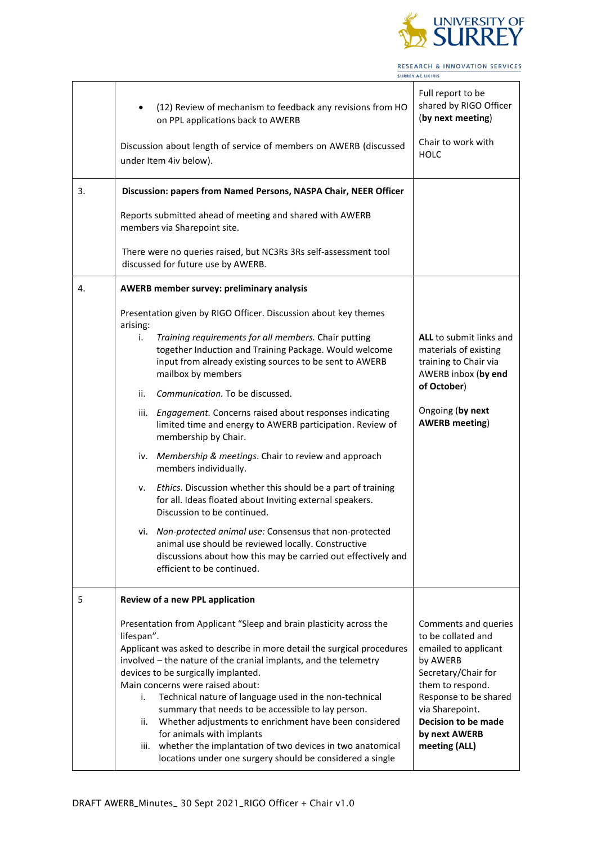

RESEARCH & INNOVATION SERVICES SURREY.AC.UK/RIS  $\overline{\phantom{0}}$ 

|    | (12) Review of mechanism to feedback any revisions from HO<br>on PPL applications back to AWERB<br>Discussion about length of service of members on AWERB (discussed                                                                                                                                                                                                                                                                                                                                                                                                                                                                                            | Full report to be<br>shared by RIGO Officer<br>(by next meeting)<br>Chair to work with                                                                                                                                                |
|----|-----------------------------------------------------------------------------------------------------------------------------------------------------------------------------------------------------------------------------------------------------------------------------------------------------------------------------------------------------------------------------------------------------------------------------------------------------------------------------------------------------------------------------------------------------------------------------------------------------------------------------------------------------------------|---------------------------------------------------------------------------------------------------------------------------------------------------------------------------------------------------------------------------------------|
|    | under Item 4iv below).                                                                                                                                                                                                                                                                                                                                                                                                                                                                                                                                                                                                                                          | <b>HOLC</b>                                                                                                                                                                                                                           |
| 3. | Discussion: papers from Named Persons, NASPA Chair, NEER Officer                                                                                                                                                                                                                                                                                                                                                                                                                                                                                                                                                                                                |                                                                                                                                                                                                                                       |
|    | Reports submitted ahead of meeting and shared with AWERB<br>members via Sharepoint site.                                                                                                                                                                                                                                                                                                                                                                                                                                                                                                                                                                        |                                                                                                                                                                                                                                       |
|    | There were no queries raised, but NC3Rs 3Rs self-assessment tool<br>discussed for future use by AWERB.                                                                                                                                                                                                                                                                                                                                                                                                                                                                                                                                                          |                                                                                                                                                                                                                                       |
| 4. | AWERB member survey: preliminary analysis                                                                                                                                                                                                                                                                                                                                                                                                                                                                                                                                                                                                                       |                                                                                                                                                                                                                                       |
|    | Presentation given by RIGO Officer. Discussion about key themes<br>arising:<br>Training requirements for all members. Chair putting<br>i.<br>together Induction and Training Package. Would welcome<br>input from already existing sources to be sent to AWERB<br>mailbox by members                                                                                                                                                                                                                                                                                                                                                                            | <b>ALL</b> to submit links and<br>materials of existing<br>training to Chair via<br>AWERB inbox (by end                                                                                                                               |
|    | Communication. To be discussed.<br>ii.                                                                                                                                                                                                                                                                                                                                                                                                                                                                                                                                                                                                                          | of October)                                                                                                                                                                                                                           |
|    | Engagement. Concerns raised about responses indicating<br>iii.<br>limited time and energy to AWERB participation. Review of<br>membership by Chair.                                                                                                                                                                                                                                                                                                                                                                                                                                                                                                             | Ongoing (by next<br><b>AWERB</b> meeting)                                                                                                                                                                                             |
|    | Membership & meetings. Chair to review and approach<br>iv.<br>members individually.                                                                                                                                                                                                                                                                                                                                                                                                                                                                                                                                                                             |                                                                                                                                                                                                                                       |
|    | Ethics. Discussion whether this should be a part of training<br>۷.<br>for all. Ideas floated about Inviting external speakers.<br>Discussion to be continued.                                                                                                                                                                                                                                                                                                                                                                                                                                                                                                   |                                                                                                                                                                                                                                       |
|    | vi. Non-protected animal use: Consensus that non-protected<br>animal use should be reviewed locally. Constructive<br>discussions about how this may be carried out effectively and<br>efficient to be continued.                                                                                                                                                                                                                                                                                                                                                                                                                                                |                                                                                                                                                                                                                                       |
| 5  | Review of a new PPL application                                                                                                                                                                                                                                                                                                                                                                                                                                                                                                                                                                                                                                 |                                                                                                                                                                                                                                       |
|    | Presentation from Applicant "Sleep and brain plasticity across the<br>lifespan".<br>Applicant was asked to describe in more detail the surgical procedures<br>involved - the nature of the cranial implants, and the telemetry<br>devices to be surgically implanted.<br>Main concerns were raised about:<br>Technical nature of language used in the non-technical<br>i.<br>summary that needs to be accessible to lay person.<br>Whether adjustments to enrichment have been considered<br>ii.<br>for animals with implants<br>whether the implantation of two devices in two anatomical<br>iii.<br>locations under one surgery should be considered a single | Comments and queries<br>to be collated and<br>emailed to applicant<br>by AWERB<br>Secretary/Chair for<br>them to respond.<br>Response to be shared<br>via Sharepoint.<br><b>Decision to be made</b><br>by next AWERB<br>meeting (ALL) |